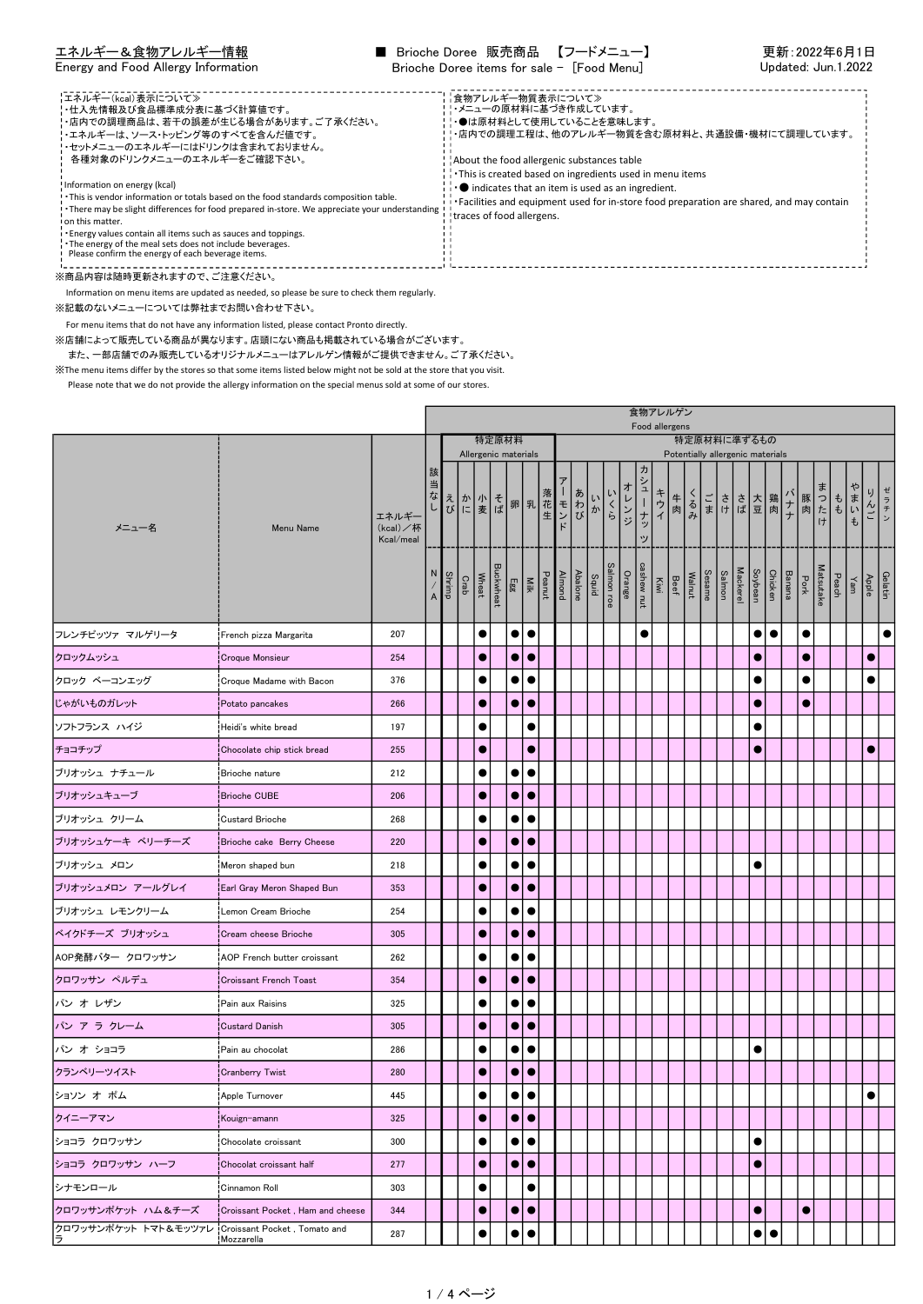| エネルギー&食物アレルギー情報                                                                                                                                                                                                                                                                                                                                                                                                                                                                                                                                                                                                                                            | ■ Brioche Doree 販売商品 【フードメニュー】                                                                                                                                                                                                                                                                                                                                                                             | 更新:2022年6月1日        |
|------------------------------------------------------------------------------------------------------------------------------------------------------------------------------------------------------------------------------------------------------------------------------------------------------------------------------------------------------------------------------------------------------------------------------------------------------------------------------------------------------------------------------------------------------------------------------------------------------------------------------------------------------------|------------------------------------------------------------------------------------------------------------------------------------------------------------------------------------------------------------------------------------------------------------------------------------------------------------------------------------------------------------------------------------------------------------|---------------------|
| Energy and Food Allergy Information                                                                                                                                                                                                                                                                                                                                                                                                                                                                                                                                                                                                                        | Brioche Doree items for sale - [Food Menu]                                                                                                                                                                                                                                                                                                                                                                 | Updated: Jun.1.2022 |
| 【エネルギー(kcal)表示について≫<br>'・仕入先情報及び食品標準成分表に基づく計算値です。<br>!・店内での調理商品は、若干の誤差が生じる場合があります。ご了承ください。<br>'・エネルギーは、ソース・トッピング等のすべてを含んだ値です。<br>!・セットメニューのエネルギーにはドリンクは含まれておりません。<br>各種対象のドリンクメニューのエネルギーをご確認下さい。<br>Information on energy (kcal)<br>. This is vendor information or totals based on the food standards composition table.<br>There may be slight differences for food prepared in-store. We appreciate your understanding I traces of food allergens.<br>on this matter.<br>. Energy values contain all items such as sauces and toppings.<br>The energy of the meal sets does not include beverages.<br>Please confirm the energy of each beverage items. | ■食物アレルギー物質表示について》<br>!!・メニューの原材料に基づき作成しています。<br>!!●は原材料として使用していることを意味します。<br>!!・店内での調理工程は、他のアレルギー物質を含む原材料と、共通設備・機材にて調理しています。<br>About the food allergenic substances table<br>This is created based on ingredients used in menu items<br>$\cdot \cdot \bullet$ indicates that an item is used as an ingredient.<br>Facilities and equipment used for in-store food preparation are shared, and may contain |                     |

Information on menu items are updated as needed, so please be sure to check them regularly.

※記載のないメニューについては弊社までお問い合わせ下さい。

For menu items that do not have any information listed, please contact Pronto directly.

※店舗によって販売している商品が異なります。店頭にない商品も掲載されている場合がございます。

また、一部店舗でのみ販売しているオリジナルメニューはアレルゲン情報がご提供できません。ご了承ください。

<u> - - - - - - - - - -</u>

※The menu items differ by the stores so that some items listed below might not be sold at the store that you visit.

|                             |                                            |        |                      |                                    |      |                      |                  |                       |                     |  |         | 食物アレルゲン<br>Food allergens |                                         |      |                 |     |                                      |  |             |  |        |                 |                                               |        |  |           |             |              |             |                  |  |
|-----------------------------|--------------------------------------------|--------|----------------------|------------------------------------|------|----------------------|------------------|-----------------------|---------------------|--|---------|---------------------------|-----------------------------------------|------|-----------------|-----|--------------------------------------|--|-------------|--|--------|-----------------|-----------------------------------------------|--------|--|-----------|-------------|--------------|-------------|------------------|--|
|                             |                                            |        |                      |                                    |      |                      | 特定原材料            |                       |                     |  |         |                           |                                         |      |                 |     |                                      |  | 特定原材料に準ずるもの |  |        |                 |                                               |        |  |           |             |              |             |                  |  |
| メニュー名<br>Menu Name          | エネルギー<br>(kcal)/杯<br>Kcal/meal             | 該<br>当 |                      | <br> <br> さんかいその乳花<br> <br> バーミはい乳 |      | Allergenic materials |                  |                       |                     |  | - 1 モンド | いか                        | いくら                                     | オレンジ | ヵ<br>シューナッ<br>ッ | キウイ | 牛肉                                   |  |             |  |        |                 | Potentially allergenic materials<br>くごささ 大鶏ナナ |        |  |           | ■豚肉たち もしまいも | ゃ            | ゼラチン<br>りんご |                  |  |
|                             |                                            |        | N,<br>$\overline{A}$ | <b>Shrimp</b>                      | Crab | Wheat                | <b>Buckwheat</b> | Peanut<br>Milk<br>Egg |                     |  |         |                           | Salmon roe<br>Squid<br>Almond<br>Almond |      | Orange          |     | Walnut<br>Beef<br>Kiwi<br>cashew nut |  | Sesame      |  | Salmon | <b>Mackerel</b> | Chicken<br>Soybean                            | Banana |  | Pork      | Matsutake   | Yam<br>Peach |             | Gelatin<br>Apple |  |
| フレンチピッツァ マルゲリータ             | French pizza Margarita                     | 207    |                      |                                    |      | $\bullet$            |                  |                       | $\bullet\, \bullet$ |  |         |                           |                                         |      |                 |     |                                      |  |             |  |        |                 | $\bullet\bullet$                              |        |  | $\bullet$ |             |              |             | $\bullet$        |  |
| クロックムッシュ                    | <b>Croque Monsieur</b>                     | 254    |                      |                                    |      | $\bullet$            |                  | $\bullet$             | 10                  |  |         |                           |                                         |      |                 |     |                                      |  |             |  |        |                 |                                               |        |  | $\bullet$ |             |              |             | G                |  |
| クロック ベーコンエッグ                | Croque Madame with Bacon                   | 376    |                      |                                    |      | $\bullet$            |                  |                       | $\bullet\, \bullet$ |  |         |                           |                                         |      |                 |     |                                      |  |             |  |        |                 |                                               |        |  | $\bullet$ |             |              |             | $\bullet$        |  |
| じゃがいものガレット                  | Potato pancakes                            | 266    |                      |                                    |      | $\bullet$            |                  | $\bullet$             | $\bullet$           |  |         |                           |                                         |      |                 |     |                                      |  |             |  |        |                 | G                                             |        |  | $\bullet$ |             |              |             |                  |  |
| ソフトフランス ハイジ                 | Heidi's white bread!                       | 197    |                      |                                    |      | ●                    |                  |                       | $\bullet$           |  |         |                           |                                         |      |                 |     |                                      |  |             |  |        |                 |                                               |        |  |           |             |              |             |                  |  |
| チョコチップ                      | Chocolate chip stick bread                 | 255    |                      |                                    |      | c                    |                  |                       | G                   |  |         |                           |                                         |      |                 |     |                                      |  |             |  |        |                 | $\epsilon$                                    |        |  |           |             |              |             | G                |  |
| ブリオッシュ ナチュール                | Brioche nature                             | 212    |                      |                                    |      |                      |                  | $\bullet$             | $\bullet$           |  |         |                           |                                         |      |                 |     |                                      |  |             |  |        |                 |                                               |        |  |           |             |              |             |                  |  |
| ブリオッシュキューブ                  | Brioche CUBE                               | 206    |                      |                                    |      | $\bullet$            |                  | $\bullet$             | $\bullet$           |  |         |                           |                                         |      |                 |     |                                      |  |             |  |        |                 |                                               |        |  |           |             |              |             |                  |  |
| ブリオッシュ クリーム                 | Custard Brioche                            | 268    |                      |                                    |      |                      |                  | $\bullet$             | $\bullet$           |  |         |                           |                                         |      |                 |     |                                      |  |             |  |        |                 |                                               |        |  |           |             |              |             |                  |  |
| ブリオッシュケーキ ベリーチーズ            | Brioche cake Berry Cheese                  | 220    |                      |                                    |      | $\bullet$            |                  | $\bullet$             | $\bullet$           |  |         |                           |                                         |      |                 |     |                                      |  |             |  |        |                 |                                               |        |  |           |             |              |             |                  |  |
| ブリオッシュ メロン                  | Meron shaped bun                           | 218    |                      |                                    |      | $\bullet$            |                  | $\bullet$             | $\bullet$           |  |         |                           |                                         |      |                 |     |                                      |  |             |  |        |                 |                                               |        |  |           |             |              |             |                  |  |
| ブリオッシュメロン アールグレイ            | Earl Gray Meron Shaped Bun                 | 353    |                      |                                    |      | 0                    |                  | $\bullet$             | $\bullet$           |  |         |                           |                                         |      |                 |     |                                      |  |             |  |        |                 |                                               |        |  |           |             |              |             |                  |  |
| ブリオッシュ レモンクリーム              | Lemon Cream Brioche                        | 254    |                      |                                    |      | $\bullet$            |                  | $\bullet$             |                     |  |         |                           |                                         |      |                 |     |                                      |  |             |  |        |                 |                                               |        |  |           |             |              |             |                  |  |
| ベイクドチーズ ブリオッシュ              | <b>Cream cheese Brioche</b>                | 305    |                      |                                    |      | $\bullet$            |                  | $\bullet$             | $\bullet$           |  |         |                           |                                         |      |                 |     |                                      |  |             |  |        |                 |                                               |        |  |           |             |              |             |                  |  |
| AOP発酵バター クロワッサン             | AOP French butter croissant                | 262    |                      |                                    |      | $\bullet$            |                  |                       |                     |  |         |                           |                                         |      |                 |     |                                      |  |             |  |        |                 |                                               |        |  |           |             |              |             |                  |  |
| クロワッサン ペルデュ                 | Croissant French Toast                     | 354    |                      |                                    |      | $\bullet$            |                  | $\bullet$             | $\bullet$           |  |         |                           |                                         |      |                 |     |                                      |  |             |  |        |                 |                                               |        |  |           |             |              |             |                  |  |
| パン オ レザン                    | Pain aux Raisins                           | 325    |                      |                                    |      |                      |                  | $\bullet$             |                     |  |         |                           |                                         |      |                 |     |                                      |  |             |  |        |                 |                                               |        |  |           |             |              |             |                  |  |
| パン ア ラ クレーム                 | Custard Danish                             | 305    |                      |                                    |      | $\bullet$            |                  | $\bullet$             | $\bullet$           |  |         |                           |                                         |      |                 |     |                                      |  |             |  |        |                 |                                               |        |  |           |             |              |             |                  |  |
| パン オ ショコラ                   | Pain au chocolat                           | 286    |                      |                                    |      |                      |                  | $\bullet$             |                     |  |         |                           |                                         |      |                 |     |                                      |  |             |  |        |                 |                                               |        |  |           |             |              |             |                  |  |
| クランベリーツイスト                  | <b>Cranberry Twist</b>                     | 280    |                      |                                    |      | 0                    |                  | $\bullet$             | $\bullet$           |  |         |                           |                                         |      |                 |     |                                      |  |             |  |        |                 |                                               |        |  |           |             |              |             |                  |  |
| ショソン オ ポム                   | Apple Turnover                             | 445    |                      |                                    |      | $\bullet$            |                  | $\bullet$             | $\bullet$           |  |         |                           |                                         |      |                 |     |                                      |  |             |  |        |                 |                                               |        |  |           |             |              |             | $\bullet$        |  |
| クイニーアマン                     | Kouign-amann                               | 325    |                      |                                    |      | $\bullet$            |                  |                       | $\bullet\bullet$    |  |         |                           |                                         |      |                 |     |                                      |  |             |  |        |                 |                                               |        |  |           |             |              |             |                  |  |
| ショコラ クロワッサン                 | Chocolate croissant                        | 300    |                      |                                    |      | $\bullet$            |                  |                       | $\bullet\, \bullet$ |  |         |                           |                                         |      |                 |     |                                      |  |             |  |        |                 |                                               |        |  |           |             |              |             |                  |  |
| ショコラ クロワッサン ハーフ             | Chocolat croissant half                    | 277    |                      |                                    |      | $\bullet$            |                  |                       | $\bullet\bullet$    |  |         |                           |                                         |      |                 |     |                                      |  |             |  |        |                 | $\bullet$                                     |        |  |           |             |              |             |                  |  |
| シナモンロール                     | Cinnamon Roll                              | 303    |                      |                                    |      | $\bullet$            |                  |                       |                     |  |         |                           |                                         |      |                 |     |                                      |  |             |  |        |                 |                                               |        |  |           |             |              |             |                  |  |
| クロワッサンポケット ハム&チーズ           | Croissant Pocket, Ham and cheese           | 344    |                      |                                    |      | $\bullet$            |                  |                       | $\bullet\bullet$    |  |         |                           |                                         |      |                 |     |                                      |  |             |  |        |                 | $\bullet$                                     |        |  | $\bullet$ |             |              |             |                  |  |
| クロワッサンポケット トマト&モッツァレ<br>lラ. | Croissant Pocket, Tomato and<br>Mozzarella | 287    |                      |                                    |      |                      |                  | $\bullet$             |                     |  |         |                           |                                         |      |                 |     |                                      |  |             |  |        |                 | $\bullet\bullet$                              |        |  |           |             |              |             |                  |  |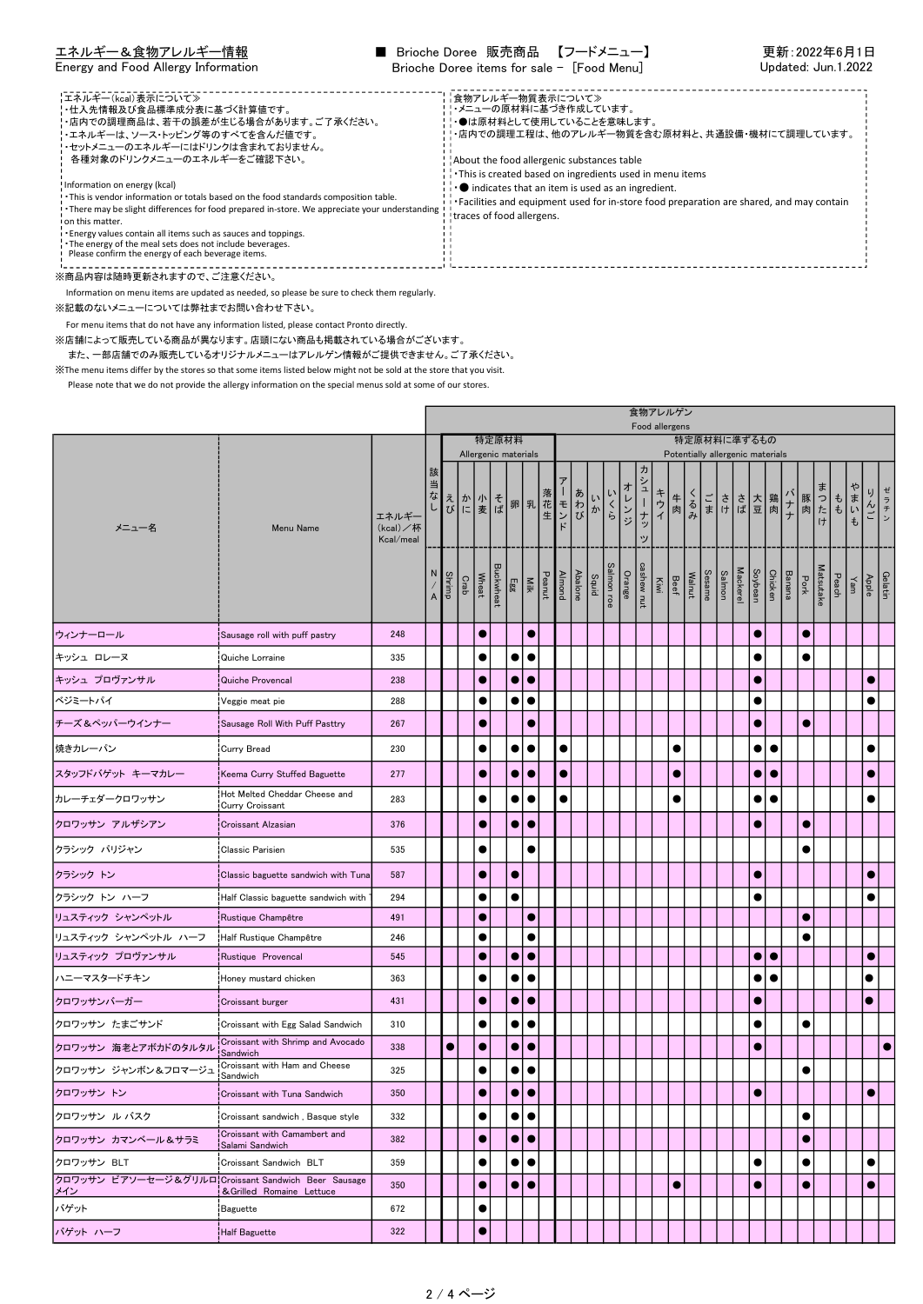| エネルギー&食物アレルギー情報                                                                                                                                                                                                                                                                                                                                                                                                                                                                                                                                                                                                                                            | ■ Brioche Doree 販売商品 【フードメニュー】                                                                                                                                                                                                                                                                                                                                                                             | 更新:2022年6月1日        |
|------------------------------------------------------------------------------------------------------------------------------------------------------------------------------------------------------------------------------------------------------------------------------------------------------------------------------------------------------------------------------------------------------------------------------------------------------------------------------------------------------------------------------------------------------------------------------------------------------------------------------------------------------------|------------------------------------------------------------------------------------------------------------------------------------------------------------------------------------------------------------------------------------------------------------------------------------------------------------------------------------------------------------------------------------------------------------|---------------------|
| Energy and Food Allergy Information                                                                                                                                                                                                                                                                                                                                                                                                                                                                                                                                                                                                                        | Brioche Doree items for sale - [Food Menu]                                                                                                                                                                                                                                                                                                                                                                 | Updated: Jun.1.2022 |
| 【エネルギー(kcal)表示について≫<br>'・仕入先情報及び食品標準成分表に基づく計算値です。<br>!・店内での調理商品は、若干の誤差が生じる場合があります。ご了承ください。<br>'・エネルギーは、ソース・トッピング等のすべてを含んだ値です。<br>!・セットメニューのエネルギーにはドリンクは含まれておりません。<br>各種対象のドリンクメニューのエネルギーをご確認下さい。<br>Information on energy (kcal)<br>. This is vendor information or totals based on the food standards composition table.<br>There may be slight differences for food prepared in-store. We appreciate your understanding I traces of food allergens.<br>on this matter.<br>. Energy values contain all items such as sauces and toppings.<br>The energy of the meal sets does not include beverages.<br>Please confirm the energy of each beverage items. | ■食物アレルギー物質表示について》<br>!!・メニューの原材料に基づき作成しています。<br>!!●は原材料として使用していることを意味します。<br>!!・店内での調理工程は、他のアレルギー物質を含む原材料と、共通設備・機材にて調理しています。<br>About the food allergenic substances table<br>This is created based on ingredients used in menu items<br>$\cdot \cdot \bullet$ indicates that an item is used as an ingredient.<br>Facilities and equipment used for in-store food preparation are shared, and may contain |                     |

Information on menu items are updated as needed, so please be sure to check them regularly.

※記載のないメニューについては弊社までお問い合わせ下さい。

For menu items that do not have any information listed, please contact Pronto directly.

※店舗によって販売している商品が異なります。店頭にない商品も掲載されている場合がございます。

また、一部店舗でのみ販売しているオリジナルメニューはアレルゲン情報がご提供できません。ご了承ください。

※The menu items differ by the stores so that some items listed below might not be sold at the store that you visit.

|                                                                  |                                                         | 食物アレルゲン<br>Food allergens      |                                                                 |               |               |           |                          |             |                     |  |                                                                  |  |    |     |        |                 |                                      |           |                                  |                 |                 |                    |           |               |           |           |                                            |                       |  |
|------------------------------------------------------------------|---------------------------------------------------------|--------------------------------|-----------------------------------------------------------------|---------------|---------------|-----------|--------------------------|-------------|---------------------|--|------------------------------------------------------------------|--|----|-----|--------|-----------------|--------------------------------------|-----------|----------------------------------|-----------------|-----------------|--------------------|-----------|---------------|-----------|-----------|--------------------------------------------|-----------------------|--|
|                                                                  |                                                         |                                |                                                                 |               |               |           | 特定原材料                    |             |                     |  |                                                                  |  |    |     |        |                 |                                      |           | 特定原材料に準ずるもの                      |                 |                 |                    |           |               |           |           |                                            |                       |  |
|                                                                  |                                                         |                                |                                                                 |               |               |           | Allergenic materials     |             |                     |  |                                                                  |  |    |     |        |                 |                                      |           | Potentially allergenic materials |                 |                 |                    |           |               |           |           |                                            |                       |  |
| メニュー名                                                            | Menu Name                                               | エネルギー<br>(kcal)/杯<br>Kcal/meal | 該<br>当                                                          |               |               |           |                          |             |                     |  | コなし ホーモ 郎 乳花 モンバー きゅうしゅう しゅうしょう しゅうしょう しゅうしょう あしあわる しゅうしゅう あしあわる |  | いか | いくら | オレンジ   | ヵ<br>シューナッ<br>ッ | キウイ                                  | 牛肉        | くるみ                              | ごささ大鶏<br> まけば豆肉 |                 |                    |           | $\frac{1}{1}$ |           |           | 豚肉 けいも                                     | ゼ<br>IJ.<br>ラチン<br>んご |  |
|                                                                  |                                                         |                                | N<br>$\hspace{0.025cm}\mathcal{N}$<br>$\boldsymbol{\mathsf{A}}$ | <b>Shrimp</b> | Wheat<br>Crab |           | Milk<br>Egg<br>Buckwheat |             |                     |  | Salmon roe<br>Squid<br>Abalone<br>Peanut<br>Peanut               |  |    |     | Orange |                 | Walnut<br>Beef<br>Kiwi<br>cashew nut |           | Sesame                           | Salmon          | <b>Mackerel</b> | Chicken<br>Soybean |           | Banana        | Pork      | Matsutake | $\frac{\gamma_{\text{am}}}{\text{Pearch}}$ | Gelatin<br>Apple      |  |
| ウィンナーロール                                                         | Sausage roll with puff pastry                           | 248                            |                                                                 |               |               | $\bullet$ |                          |             | $\bullet$           |  |                                                                  |  |    |     |        |                 |                                      |           |                                  |                 |                 | c                  |           |               | $\bullet$ |           |                                            |                       |  |
| キッシュ ロレーヌ                                                        | Quiche Lorraine                                         | 335                            |                                                                 |               |               | $\bullet$ |                          | $\bullet$   | $\bullet$           |  |                                                                  |  |    |     |        |                 |                                      |           |                                  |                 |                 |                    |           |               |           |           |                                            |                       |  |
| キッシュ プロヴァンサル                                                     | Quiche Provencal                                        | 238                            |                                                                 |               |               | 0         |                          | $\bullet$   | $\bullet$           |  |                                                                  |  |    |     |        |                 |                                      |           |                                  |                 |                 | G                  |           |               |           |           |                                            | G                     |  |
| ベジミートパイ                                                          | Veggie meat pie                                         | 288                            |                                                                 |               |               | $\bullet$ |                          | $\bullet$ l | $\bullet$           |  |                                                                  |  |    |     |        |                 |                                      |           |                                  |                 |                 |                    |           |               |           |           |                                            | C                     |  |
| チーズ&ペッパーウインナー                                                    | Sausage Roll With Puff Pasttry                          | 267                            |                                                                 |               |               | ●         |                          |             | $\bullet$           |  |                                                                  |  |    |     |        |                 |                                      |           |                                  |                 |                 | О                  |           |               | $\bullet$ |           |                                            |                       |  |
| 焼きカレーパン                                                          | Curry Bread                                             | 230                            |                                                                 |               |               | $\bullet$ |                          | $\bullet$   | $\bullet$           |  | $\bullet$                                                        |  |    |     |        |                 |                                      |           |                                  |                 |                 | $\bullet$          | $\bullet$ |               |           |           |                                            | e                     |  |
| スタッフドバゲット キーマカレー                                                 | Keema Curry Stuffed Baguette                            | 277                            |                                                                 |               |               | 0         |                          |             | $\bullet\bullet$    |  | $\bullet$                                                        |  |    |     |        |                 |                                      | $\bullet$ |                                  |                 |                 | $\bullet\bullet$   |           |               |           |           |                                            | G                     |  |
| カレーチェダークロワッサン                                                    | Hot Melted Cheddar Cheese and<br><b>Curry Croissant</b> | 283                            |                                                                 |               |               | $\bullet$ |                          | $\bullet$   | $\bullet$           |  | $\bullet$                                                        |  |    |     |        |                 |                                      |           |                                  |                 |                 | $\bullet$          |           |               |           |           |                                            |                       |  |
| クロワッサン アルザシアン                                                    | <b>Croissant Alzasian</b>                               | 376                            |                                                                 |               |               | 0         |                          | $\bullet$   | $\bullet$           |  |                                                                  |  |    |     |        |                 |                                      |           |                                  |                 |                 | О                  |           |               | $\bullet$ |           |                                            |                       |  |
| クラシック パリジャン                                                      | <b>Classic Parisien</b>                                 | 535                            |                                                                 |               |               | $\bullet$ |                          |             |                     |  |                                                                  |  |    |     |        |                 |                                      |           |                                  |                 |                 |                    |           |               |           |           |                                            |                       |  |
| クラシック トン                                                         | Classic baguette sandwich with Tuna                     | 587                            |                                                                 |               |               | 0         |                          | $\bullet$   |                     |  |                                                                  |  |    |     |        |                 |                                      |           |                                  |                 |                 | G                  |           |               |           |           |                                            | C                     |  |
| クラシック トン ハーフ                                                     | Half Classic baguette sandwich with                     | 294                            |                                                                 |               |               |           |                          | $\bullet$   |                     |  |                                                                  |  |    |     |        |                 |                                      |           |                                  |                 |                 |                    |           |               |           |           |                                            |                       |  |
| リュスティック シャンペットル                                                  | Rustique Champêtre                                      | 491                            |                                                                 |               |               | 0         |                          |             | 0                   |  |                                                                  |  |    |     |        |                 |                                      |           |                                  |                 |                 |                    |           |               |           |           |                                            |                       |  |
| リュスティック シャンペットル ハーフ                                              | Half Rustique Champêtre                                 | 246                            |                                                                 |               |               |           |                          |             |                     |  |                                                                  |  |    |     |        |                 |                                      |           |                                  |                 |                 |                    |           |               |           |           |                                            |                       |  |
| リュスティック プロヴァンサル                                                  | Rustique Provencal                                      | 545                            |                                                                 |               |               |           |                          | $\bullet$   | $\bullet$           |  |                                                                  |  |    |     |        |                 |                                      |           |                                  |                 |                 | $\bullet$          | $\bullet$ |               |           |           |                                            |                       |  |
| ハニーマスタードチキン                                                      | Honey mustard chicken                                   | 363                            |                                                                 |               |               | $\bullet$ |                          | $\bullet$   | ∣ ●                 |  |                                                                  |  |    |     |        |                 |                                      |           |                                  |                 |                 | $\bullet\bullet$   |           |               |           |           |                                            |                       |  |
| クロワッサンバーガー                                                       | Croissant burger!                                       | 431                            |                                                                 |               |               | 0         |                          | $\bullet$   | $\bullet$           |  |                                                                  |  |    |     |        |                 |                                      |           |                                  |                 |                 |                    |           |               |           |           |                                            | 0                     |  |
| クロワッサン たまごサンド                                                    | Croissant with Egg Salad Sandwich                       | 310                            |                                                                 |               |               | $\bullet$ |                          | $\bullet$   | $\bullet$           |  |                                                                  |  |    |     |        |                 |                                      |           |                                  |                 |                 | $\bullet$          |           |               |           |           |                                            |                       |  |
| クロワッサン 海老とアボカドのタルタル                                              | Croissant with Shrimp and Avocado<br>Sandwich           | 338                            |                                                                 | $\bullet$     |               | $\bullet$ |                          | $\bullet$   | $\bullet$           |  |                                                                  |  |    |     |        |                 |                                      |           |                                  |                 |                 | О                  |           |               |           |           |                                            |                       |  |
| クロワッサン ジャンボン&フロマージュ                                              | Croissant with Ham and Cheese<br>Sandwich!              | 325                            |                                                                 |               |               |           |                          | $\bullet$   | $\bullet$           |  |                                                                  |  |    |     |        |                 |                                      |           |                                  |                 |                 |                    |           |               |           |           |                                            |                       |  |
| クロワッサントン                                                         | Croissant with Tuna Sandwich                            | 350                            |                                                                 |               |               | $\bullet$ |                          | $\bullet$   | $\bullet$           |  |                                                                  |  |    |     |        |                 |                                      |           |                                  |                 |                 | $\bullet$          |           |               |           |           |                                            | $\bullet$             |  |
| クロワッサン ル バスク                                                     | Croissant sandwich , Basque style                       | 332                            |                                                                 |               |               | $\bullet$ |                          |             | $\bullet\, \bullet$ |  |                                                                  |  |    |     |        |                 |                                      |           |                                  |                 |                 |                    |           |               | $\bullet$ |           |                                            |                       |  |
| クロワッサン カマンベール&サラミ                                                | Croissant with Camambert and<br>İSalami Sandwich        | 382                            |                                                                 |               |               | 0         |                          |             | $\bullet\bullet$    |  |                                                                  |  |    |     |        |                 |                                      |           |                                  |                 |                 |                    |           |               | $\bullet$ |           |                                            |                       |  |
| クロワッサン BLT                                                       | Croissant Sandwich BLT                                  | 359                            |                                                                 |               |               |           |                          | $\bullet$   | $\bullet$           |  |                                                                  |  |    |     |        |                 |                                      |           |                                  |                 |                 |                    |           |               |           |           |                                            |                       |  |
| クロワッサン ビアソーセージ&グリルロCroissant Sandwich Beer Sausage<br><u>メイン</u> | & Grilled Romaine Lettuce                               | 350                            |                                                                 |               |               | 0         |                          | $\bullet$   | $\bullet$           |  |                                                                  |  |    |     |        |                 |                                      | $\bullet$ |                                  |                 |                 | $\bullet$          |           |               | $\bullet$ |           |                                            | $\bullet$             |  |
| バゲット                                                             | <b>B</b> aguette                                        | 672                            |                                                                 |               |               | ●         |                          |             |                     |  |                                                                  |  |    |     |        |                 |                                      |           |                                  |                 |                 |                    |           |               |           |           |                                            |                       |  |
| バゲット ハーフ                                                         | Half Baguette                                           | 322                            |                                                                 |               |               |           |                          |             |                     |  |                                                                  |  |    |     |        |                 |                                      |           |                                  |                 |                 |                    |           |               |           |           |                                            |                       |  |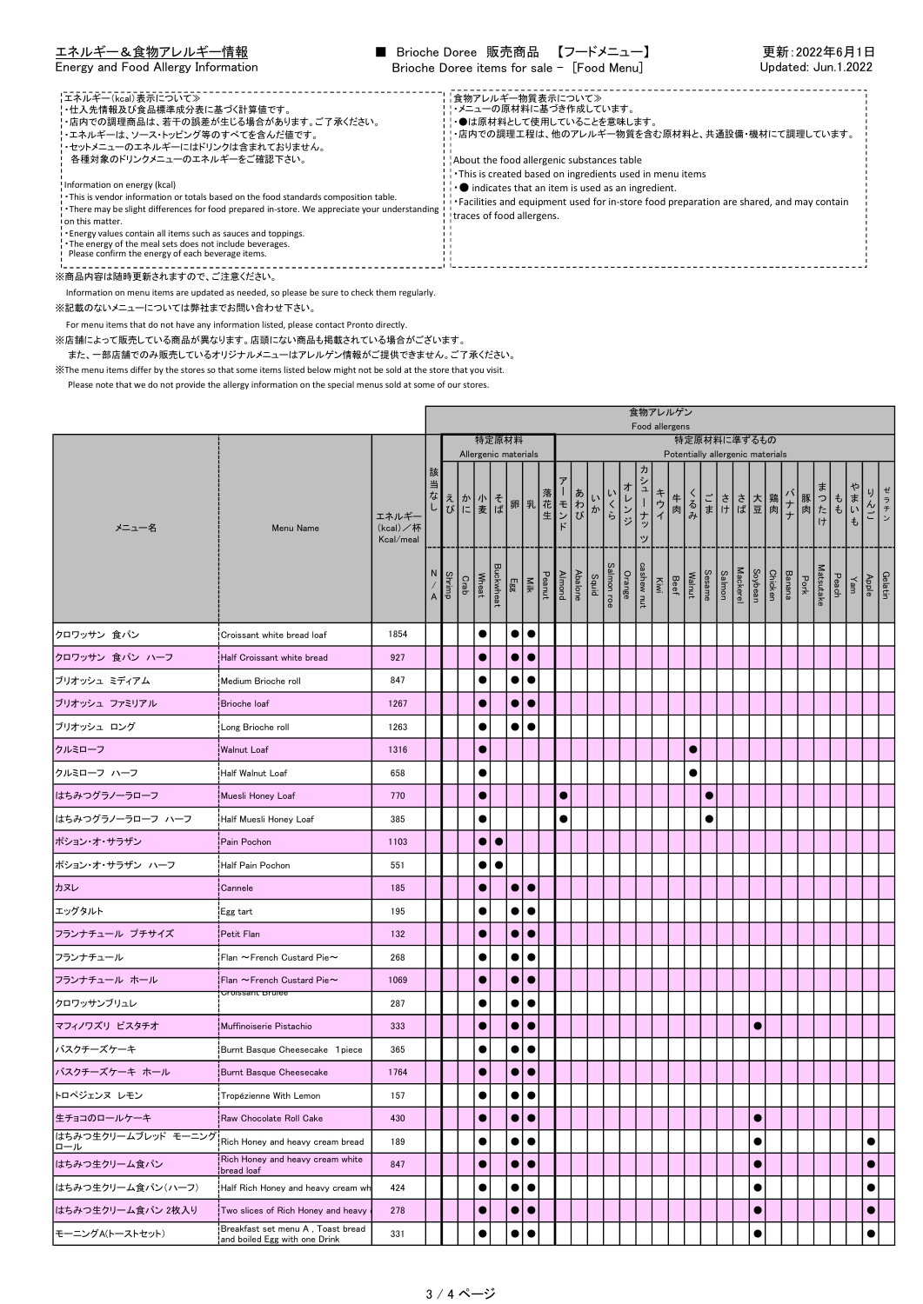| エネルギー&食物アレルギー情報<br>Energy and Food Allergy Information                                                                                                                                                                                                                                                                                                                                                                                                                                                             | ■ Brioche Doree 販売商品 【フードメニュー】<br>Brioche Doree items for sale - [Food Menu]                                                                                                                                                                                                                                                                                                                                                            | 更新:2022年6月1日<br>Updated: Jun.1.2022 |
|--------------------------------------------------------------------------------------------------------------------------------------------------------------------------------------------------------------------------------------------------------------------------------------------------------------------------------------------------------------------------------------------------------------------------------------------------------------------------------------------------------------------|-----------------------------------------------------------------------------------------------------------------------------------------------------------------------------------------------------------------------------------------------------------------------------------------------------------------------------------------------------------------------------------------------------------------------------------------|-------------------------------------|
| 【エネルギー(kcal)表示について≫<br>'・仕入先情報及び食品標準成分表に基づく計算値です。<br>!・店内での調理商品は、若干の誤差が生じる場合があります。ご了承ください。<br>'・エネルギーは、ソース・トッピング等のすべてを含んだ値です。<br>'・セットメニューのエネルギーにはドリンクは含まれておりません。<br>各種対象のドリンクメニューのエネルギーをご確認下さい。<br>Information on energy (kcal)<br>. This is vendor information or totals based on the food standards composition table.<br>! There may be slight differences for food prepared in-store. We appreciate your understanding !<br>on this matter.<br>. Energy values contain all items such as sauces and toppings. | ■食物アレルギー物質表示について》<br>!!・メニューの原材料に基づき作成しています。<br>!!●は原材料として使用していることを意味します。<br>! ・店内での調理工程は、他のアレルギー物質を含む原材料と、共通設備・機材にて調理しています。<br>About the food allergenic substances table<br>This is created based on ingredients used in menu items<br>$\cdot \cdot \bullet$ indicates that an item is used as an ingredient.<br>Facilities and equipment used for in-store food preparation are shared, and may contain<br>traces of food allergens. |                                     |
| The energy of the meal sets does not include beverages.<br>Please confirm the energy of each beverage items.                                                                                                                                                                                                                                                                                                                                                                                                       |                                                                                                                                                                                                                                                                                                                                                                                                                                         |                                     |

Information on menu items are updated as needed, so please be sure to check them regularly.

※記載のないメニューについては弊社までお問い合わせ下さい。

For menu items that do not have any information listed, please contact Pronto directly.

※店舗によって販売している商品が異なります。店頭にない商品も掲載されている場合がございます。

また、一部店舗でのみ販売しているオリジナルメニューはアレルゲン情報がご提供できません。ご了承ください。

<u>----------</u>

※The menu items differ by the stores so that some items listed below might not be sold at the store that you visit.

|                            |                                                                    |                                |        |                                   |                                   |                      |           |             |                                                               |        |           |         |                                         |     |        |                 | 食物アレルゲン<br>Food allergens            |    |                                               |        |        |                 |           |                              |      |           |                      |                                                                                                         |                      |  |
|----------------------------|--------------------------------------------------------------------|--------------------------------|--------|-----------------------------------|-----------------------------------|----------------------|-----------|-------------|---------------------------------------------------------------|--------|-----------|---------|-----------------------------------------|-----|--------|-----------------|--------------------------------------|----|-----------------------------------------------|--------|--------|-----------------|-----------|------------------------------|------|-----------|----------------------|---------------------------------------------------------------------------------------------------------|----------------------|--|
|                            |                                                                    |                                |        |                                   |                                   | 特定原材料                |           |             |                                                               |        |           |         |                                         |     |        |                 |                                      |    | 特定原材料に準ずるもの                                   |        |        |                 |           |                              |      |           |                      |                                                                                                         |                      |  |
| メニュー名                      | Menu Name                                                          | エネルギー<br>(kcal)/杯<br>Kcal/meal | 該<br>当 |                                   | 「なえか小そ卵乳」<br>「ない」をいう?<br>「ない」をいう? | Allergenic materials |           |             |                                                               |        |           | . – モンド | いか                                      | いくら | オレンジ   | 刀<br>シューナッ<br>ッ | キウイ                                  | 牛肉 | Potentially allergenic materials<br>くごささ 大鶏ナナ |        |        |                 |           |                              |      |           | 豚肉<br> おもいも<br> け  も |                                                                                                         | ゼ<br>り<br>ラチン<br>・んご |  |
|                            |                                                                    |                                |        | $\frac{\text{Shim}}{\text{Shim}}$ | Crab                              | Wheat                | Buckwheat |             | $\frac{\mathbf{N}\mathbf{H}}{\mathbf{E}}\mathbf{g}\mathbf{g}$ | Peanut |           |         | Salmon roe<br>Squid<br>Almond<br>Almond |     | Orange |                 | Walnut<br>Beef<br>Kiwi<br>cashew nut |    |                                               | Sesame | Salmon | <b>Mackerel</b> |           | Banana<br>Chicken<br>Soybean | Pork | Matsutake |                      | $\begin{array}{c}\n\begin{array}{c}\n\lambda \text{pple} \\ \gamma \text{an}\n\end{array}\n\end{array}$ | Gelatin              |  |
| クロワッサン 食パン                 | Croissant white bread loaf!                                        | 1854                           |        |                                   |                                   | $\bullet$            |           |             | $\bullet\bullet$                                              |        |           |         |                                         |     |        |                 |                                      |    |                                               |        |        |                 |           |                              |      |           |                      |                                                                                                         |                      |  |
| クロワッサン 食パン ハーフ             | Half Croissant white bread                                         | 927                            |        |                                   |                                   | O                    |           | $\bullet$   | $\bullet$                                                     |        |           |         |                                         |     |        |                 |                                      |    |                                               |        |        |                 |           |                              |      |           |                      |                                                                                                         |                      |  |
| ブリオッシュ ミディアム               | Medium Brioche roll                                                | 847                            |        |                                   |                                   | $\bullet$            |           |             | $\bullet\, \bullet$                                           |        |           |         |                                         |     |        |                 |                                      |    |                                               |        |        |                 |           |                              |      |           |                      |                                                                                                         |                      |  |
| ブリオッシュ ファミリアル              | Brioche loaf                                                       | 1267                           |        |                                   |                                   | $\bullet$            |           | $\bullet$   | $\bullet$                                                     |        |           |         |                                         |     |        |                 |                                      |    |                                               |        |        |                 |           |                              |      |           |                      |                                                                                                         |                      |  |
| ブリオッシュ ロング                 | Long Brioche roll                                                  | 1263                           |        |                                   |                                   | $\bullet$            |           |             | $\bullet\, \bullet$                                           |        |           |         |                                         |     |        |                 |                                      |    |                                               |        |        |                 |           |                              |      |           |                      |                                                                                                         |                      |  |
| クルミローフ                     | Walnut Loaf!                                                       | 1316                           |        |                                   |                                   | $\bullet$            |           |             |                                                               |        |           |         |                                         |     |        |                 |                                      |    | $\bullet$                                     |        |        |                 |           |                              |      |           |                      |                                                                                                         |                      |  |
| クルミローフ ハーフ                 | Half Walnut Loaf!                                                  | 658                            |        |                                   |                                   | ●                    |           |             |                                                               |        |           |         |                                         |     |        |                 |                                      |    | $\bullet$                                     |        |        |                 |           |                              |      |           |                      |                                                                                                         |                      |  |
| はちみつグラノーラローフ               | Muesli Honey Loaf                                                  | 770                            |        |                                   |                                   | $\bullet$            |           |             |                                                               |        | $\bullet$ |         |                                         |     |        |                 |                                      |    |                                               | O      |        |                 |           |                              |      |           |                      |                                                                                                         |                      |  |
| はちみつグラノーラローフ ハーフ           | Half Muesli Honey Loaf                                             | 385                            |        |                                   |                                   | $\bullet$            |           |             |                                                               |        | $\bullet$ |         |                                         |     |        |                 |                                      |    |                                               |        |        |                 |           |                              |      |           |                      |                                                                                                         |                      |  |
| ポション・オ・サラザン                | Pain Pochon                                                        | 1103                           |        |                                   |                                   | $\bullet$            | $\bullet$ |             |                                                               |        |           |         |                                         |     |        |                 |                                      |    |                                               |        |        |                 |           |                              |      |           |                      |                                                                                                         |                      |  |
| ポション・オ・サラザン ハーフ            | Half Pain Pochon                                                   | 551                            |        |                                   |                                   | $\bullet$            | $\bullet$ |             |                                                               |        |           |         |                                         |     |        |                 |                                      |    |                                               |        |        |                 |           |                              |      |           |                      |                                                                                                         |                      |  |
| カヌレ                        | Cannele                                                            | 185                            |        |                                   |                                   | 0                    |           | $\bullet$   | $\bullet$                                                     |        |           |         |                                         |     |        |                 |                                      |    |                                               |        |        |                 |           |                              |      |           |                      |                                                                                                         |                      |  |
| エッグタルト                     | Egg tart                                                           | 195                            |        |                                   |                                   | $\bullet$            |           | $\bullet$   | $\bullet$                                                     |        |           |         |                                         |     |        |                 |                                      |    |                                               |        |        |                 |           |                              |      |           |                      |                                                                                                         |                      |  |
| フランナチュール プチサイズ             | Petit Flan                                                         | 132                            |        |                                   |                                   | $\bullet$            |           | $\bullet$   | $\bullet$                                                     |        |           |         |                                         |     |        |                 |                                      |    |                                               |        |        |                 |           |                              |      |           |                      |                                                                                                         |                      |  |
| フランナチュール                   | Flan ~French Custard Pie~                                          | 268                            |        |                                   |                                   |                      |           | $\bullet$   | $\bullet$                                                     |        |           |         |                                         |     |        |                 |                                      |    |                                               |        |        |                 |           |                              |      |           |                      |                                                                                                         |                      |  |
| フランナチュール ホール               | $\mathsf{H}$ Flan $\thicksim$ French Custard Pie $\thicksim$       | 1069                           |        |                                   |                                   | $\bullet$            |           | $\bullet$   | $\bullet$                                                     |        |           |         |                                         |     |        |                 |                                      |    |                                               |        |        |                 |           |                              |      |           |                      |                                                                                                         |                      |  |
| クロワッサンブリュレ                 | <del>Uroissant bruiee</del>                                        | 287                            |        |                                   |                                   |                      |           |             |                                                               |        |           |         |                                         |     |        |                 |                                      |    |                                               |        |        |                 |           |                              |      |           |                      |                                                                                                         |                      |  |
| マフィノワズリ ピスタチオ              | Muffinoiserie Pistachio                                            | 333                            |        |                                   |                                   | $\bullet$            |           | $\bullet$   | $\bullet$                                                     |        |           |         |                                         |     |        |                 |                                      |    |                                               |        |        |                 | ٠         |                              |      |           |                      |                                                                                                         |                      |  |
| バスクチーズケーキ                  | Burnt Basque Cheesecake 1 piece                                    | 365                            |        |                                   |                                   |                      |           | $\bullet$   |                                                               |        |           |         |                                         |     |        |                 |                                      |    |                                               |        |        |                 |           |                              |      |           |                      |                                                                                                         |                      |  |
| バスクチーズケーキ ホール              | Burnt Basque Cheesecake                                            | 1764                           |        |                                   |                                   | 0                    |           | $\bullet$   | $\bullet$                                                     |        |           |         |                                         |     |        |                 |                                      |    |                                               |        |        |                 |           |                              |      |           |                      |                                                                                                         |                      |  |
| トロペジェンヌ レモン                | Tropézienne With Lemon                                             | 157                            |        |                                   |                                   | $\bullet$            |           | $\bullet$   | e                                                             |        |           |         |                                         |     |        |                 |                                      |    |                                               |        |        |                 |           |                              |      |           |                      |                                                                                                         |                      |  |
| 生チョコのロールケーキ                | Raw Chocolate Roll Cake                                            | 430                            |        |                                   |                                   | $\bullet$            |           |             | $\bullet\bullet$                                              |        |           |         |                                         |     |        |                 |                                      |    |                                               |        |        |                 | $\bullet$ |                              |      |           |                      |                                                                                                         |                      |  |
| はちみつ生クリームブレッド モーニング<br>ロール | Rich Honey and heavy cream bread                                   | 189                            |        |                                   |                                   |                      |           | $\bullet$ l | $\bullet$                                                     |        |           |         |                                         |     |        |                 |                                      |    |                                               |        |        |                 |           |                              |      |           |                      |                                                                                                         | C                    |  |
| はちみつ生クリーム食パン               | Rich Honey and heavy cream white<br>bread loaf                     | 847                            |        |                                   |                                   | $\bullet$            |           |             | $\bullet\bullet$                                              |        |           |         |                                         |     |        |                 |                                      |    |                                               |        |        |                 | $\bullet$ |                              |      |           |                      |                                                                                                         | 0                    |  |
| はちみつ生クリーム食パン(ハーフ)          | Half Rich Honey and heavy cream wh                                 | 424                            |        |                                   |                                   |                      |           | $\bullet$   | $\bullet$                                                     |        |           |         |                                         |     |        |                 |                                      |    |                                               |        |        |                 |           |                              |      |           |                      |                                                                                                         | €                    |  |
| はちみつ生クリーム食パン 2枚入り          | Two slices of Rich Honey and heavy                                 | 278                            |        |                                   |                                   | $\bullet$            |           |             | $\bullet\bullet$                                              |        |           |         |                                         |     |        |                 |                                      |    |                                               |        |        |                 | $\bullet$ |                              |      |           |                      |                                                                                                         | 0                    |  |
| モーニングA(トーストセット)            | Breakfast set menu A, Toast bread<br>and boiled Egg with one Drink | 331                            |        |                                   |                                   | 0                    |           | $\bullet$   |                                                               |        |           |         |                                         |     |        |                 |                                      |    |                                               |        |        |                 | e         |                              |      |           |                      |                                                                                                         |                      |  |